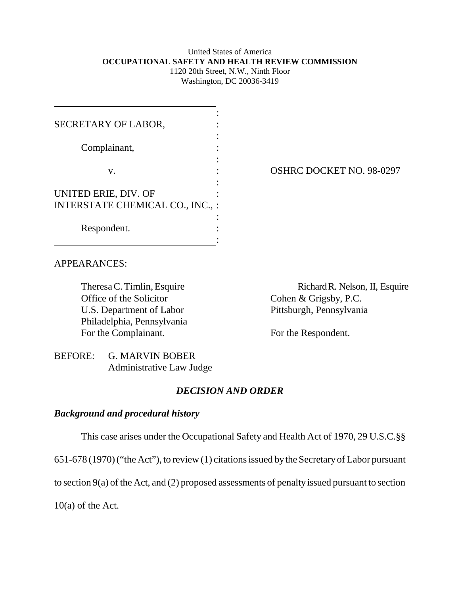## United States of America **OCCUPATIONAL SAFETY AND HEALTH REVIEW COMMISSION**

1120 20th Street, N.W., Ninth Floor Washington, DC 20036-3419

| SECRETARY OF LABOR,              |                                 |
|----------------------------------|---------------------------------|
| Complainant,                     |                                 |
| V.                               | <b>OSHRC DOCKET NO. 98-0297</b> |
| UNITED ERIE, DIV. OF             |                                 |
| INTERSTATE CHEMICAL CO., INC., : |                                 |
| Respondent.                      |                                 |

## APPEARANCES:

Office of the Solicitor Cohen & Grigsby, P.C. U.S. Department of Labor Pittsburgh, Pennsylvania Philadelphia, Pennsylvania For the Complainant. For the Respondent.

Theresa C. Timlin, Esquire Richard R. Nelson, II, Esquire

BEFORE: G. MARVIN BOBER Administrative Law Judge

## *DECISION AND ORDER*

## *Background and procedural history*

This case arises under the Occupational Safety and Health Act of 1970, 29 U.S.C.§§

651-678 (1970) ("the Act"), to review (1) citations issued by the Secretary of Labor pursuant

to section 9(a) of the Act, and (2) proposed assessments of penalty issued pursuant to section

10(a) of the Act.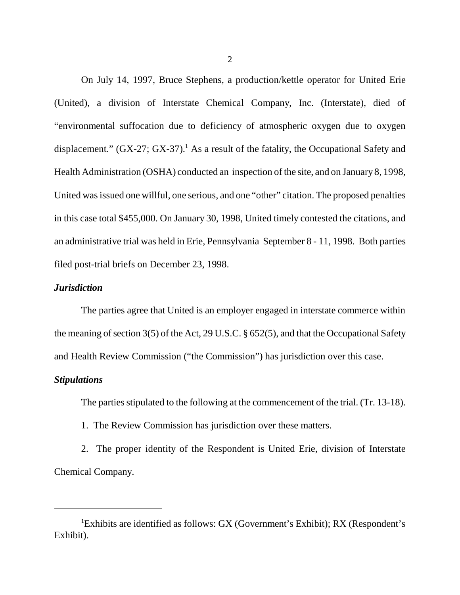On July 14, 1997, Bruce Stephens, a production/kettle operator for United Erie (United), a division of Interstate Chemical Company, Inc. (Interstate), died of "environmental suffocation due to deficiency of atmospheric oxygen due to oxygen displacement."  $(GX-27; GX-37)$ .<sup>1</sup> As a result of the fatality, the Occupational Safety and Health Administration (OSHA) conducted an inspection of the site, and on January 8, 1998, United was issued one willful, one serious, and one "other" citation. The proposed penalties in this case total \$455,000. On January 30, 1998, United timely contested the citations, and an administrative trial was held in Erie, Pennsylvania September 8 - 11, 1998. Both parties filed post-trial briefs on December 23, 1998.

#### *Jurisdiction*

The parties agree that United is an employer engaged in interstate commerce within the meaning of section 3(5) of the Act, 29 U.S.C. § 652(5), and that the Occupational Safety and Health Review Commission ("the Commission") has jurisdiction over this case.

#### *Stipulations*

The parties stipulated to the following at the commencement of the trial. (Tr. 13-18).

1. The Review Commission has jurisdiction over these matters.

2. The proper identity of the Respondent is United Erie, division of Interstate Chemical Company.

<sup>&</sup>lt;sup>1</sup>Exhibits are identified as follows: GX (Government's Exhibit); RX (Respondent's Exhibit).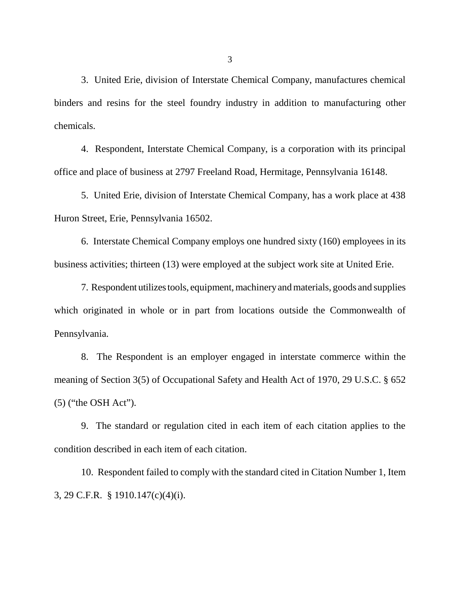3. United Erie, division of Interstate Chemical Company, manufactures chemical binders and resins for the steel foundry industry in addition to manufacturing other chemicals.

4. Respondent, Interstate Chemical Company, is a corporation with its principal office and place of business at 2797 Freeland Road, Hermitage, Pennsylvania 16148.

5. United Erie, division of Interstate Chemical Company, has a work place at 438 Huron Street, Erie, Pennsylvania 16502.

6. Interstate Chemical Company employs one hundred sixty (160) employees in its business activities; thirteen (13) were employed at the subject work site at United Erie.

7. Respondent utilizes tools, equipment, machinery and materials, goods and supplies which originated in whole or in part from locations outside the Commonwealth of Pennsylvania.

8. The Respondent is an employer engaged in interstate commerce within the meaning of Section 3(5) of Occupational Safety and Health Act of 1970, 29 U.S.C. § 652 (5) ("the OSH Act").

9. The standard or regulation cited in each item of each citation applies to the condition described in each item of each citation.

10. Respondent failed to comply with the standard cited in Citation Number 1, Item 3, 29 C.F.R. § 1910.147(c)(4)(i).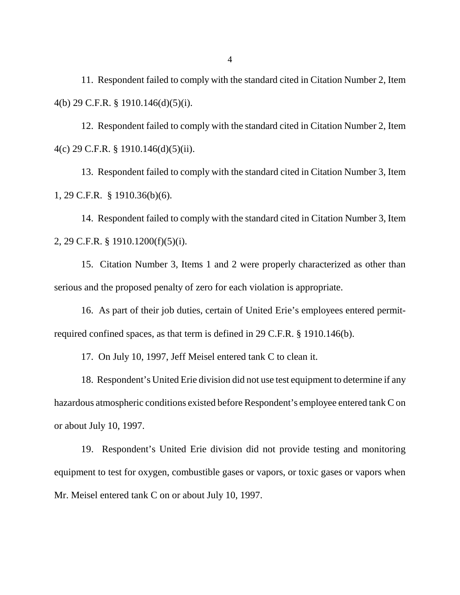11. Respondent failed to comply with the standard cited in Citation Number 2, Item 4(b) 29 C.F.R. § 1910.146(d)(5)(i).

12. Respondent failed to comply with the standard cited in Citation Number 2, Item 4(c) 29 C.F.R. § 1910.146(d)(5)(ii).

13. Respondent failed to comply with the standard cited in Citation Number 3, Item 1, 29 C.F.R. § 1910.36(b)(6).

14. Respondent failed to comply with the standard cited in Citation Number 3, Item 2, 29 C.F.R. § 1910.1200(f)(5)(i).

15. Citation Number 3, Items 1 and 2 were properly characterized as other than serious and the proposed penalty of zero for each violation is appropriate.

16. As part of their job duties, certain of United Erie's employees entered permitrequired confined spaces, as that term is defined in 29 C.F.R. § 1910.146(b).

17. On July 10, 1997, Jeff Meisel entered tank C to clean it.

18. Respondent's United Erie division did not use test equipment to determine if any hazardous atmospheric conditions existed before Respondent's employee entered tank C on or about July 10, 1997.

19. Respondent's United Erie division did not provide testing and monitoring equipment to test for oxygen, combustible gases or vapors, or toxic gases or vapors when Mr. Meisel entered tank C on or about July 10, 1997.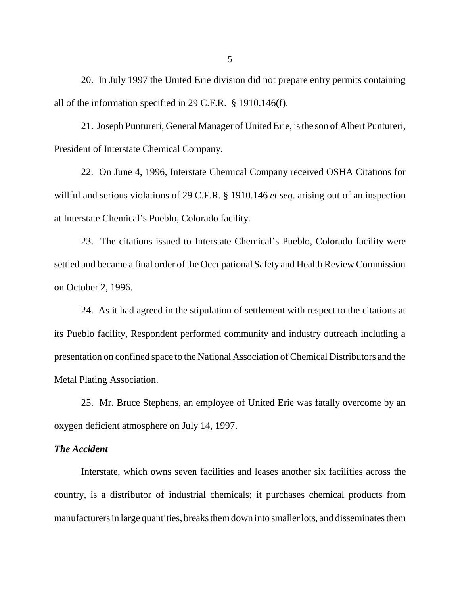20. In July 1997 the United Erie division did not prepare entry permits containing all of the information specified in 29 C.F.R. § 1910.146(f).

21. Joseph Puntureri, General Manager of United Erie, is the son of Albert Puntureri, President of Interstate Chemical Company.

22. On June 4, 1996, Interstate Chemical Company received OSHA Citations for willful and serious violations of 29 C.F.R. § 1910.146 *et seq*. arising out of an inspection at Interstate Chemical's Pueblo, Colorado facility.

23. The citations issued to Interstate Chemical's Pueblo, Colorado facility were settled and became a final order of the Occupational Safety and Health Review Commission on October 2, 1996.

24. As it had agreed in the stipulation of settlement with respect to the citations at its Pueblo facility, Respondent performed community and industry outreach including a presentation on confined space to the National Association of Chemical Distributors and the Metal Plating Association.

25. Mr. Bruce Stephens, an employee of United Erie was fatally overcome by an oxygen deficient atmosphere on July 14, 1997.

#### *The Accident*

Interstate, which owns seven facilities and leases another six facilities across the country, is a distributor of industrial chemicals; it purchases chemical products from manufacturers in large quantities, breaks them down into smaller lots, and disseminates them

5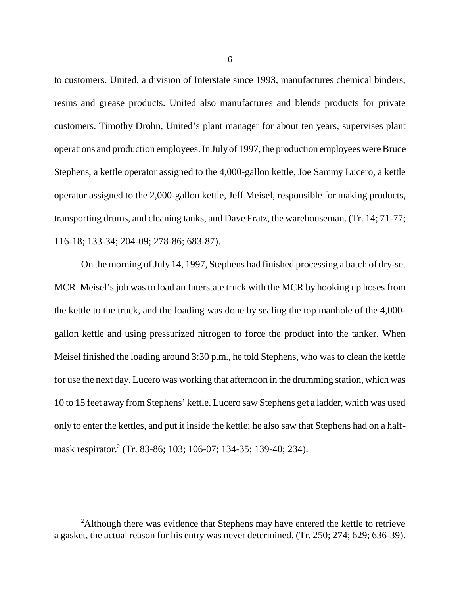to customers. United, a division of Interstate since 1993, manufactures chemical binders, resins and grease products. United also manufactures and blends products for private customers. Timothy Drohn, United's plant manager for about ten years, supervises plant operations and production employees. In July of 1997, the production employees were Bruce Stephens, a kettle operator assigned to the 4,000-gallon kettle, Joe Sammy Lucero, a kettle operator assigned to the 2,000-gallon kettle, Jeff Meisel, responsible for making products, transporting drums, and cleaning tanks, and Dave Fratz, the warehouseman. (Tr. 14; 71-77; 116-18; 133-34; 204-09; 278-86; 683-87).

On the morning of July 14, 1997, Stephens had finished processing a batch of dry-set MCR. Meisel's job was to load an Interstate truck with the MCR by hooking up hoses from the kettle to the truck, and the loading was done by sealing the top manhole of the 4,000 gallon kettle and using pressurized nitrogen to force the product into the tanker. When Meisel finished the loading around 3:30 p.m., he told Stephens, who was to clean the kettle for use the next day. Lucero was working that afternoon in the drumming station, which was 10 to 15 feet away from Stephens' kettle. Lucero saw Stephens get a ladder, which was used only to enter the kettles, and put it inside the kettle; he also saw that Stephens had on a halfmask respirator.<sup>2</sup> (Tr. 83-86; 103; 106-07; 134-35; 139-40; 234).

6

<sup>&</sup>lt;sup>2</sup>Although there was evidence that Stephens may have entered the kettle to retrieve a gasket, the actual reason for his entry was never determined. (Tr. 250; 274; 629; 636-39).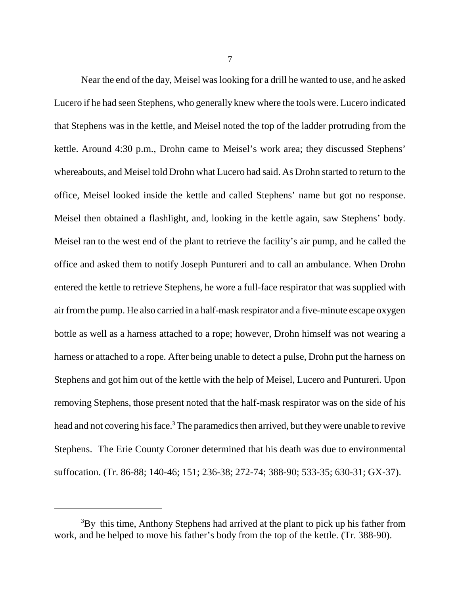Near the end of the day, Meisel was looking for a drill he wanted to use, and he asked Lucero if he had seen Stephens, who generally knew where the tools were. Lucero indicated that Stephens was in the kettle, and Meisel noted the top of the ladder protruding from the kettle. Around 4:30 p.m., Drohn came to Meisel's work area; they discussed Stephens' whereabouts, and Meisel told Drohn what Lucero had said. As Drohn started to return to the office, Meisel looked inside the kettle and called Stephens' name but got no response. Meisel then obtained a flashlight, and, looking in the kettle again, saw Stephens' body. Meisel ran to the west end of the plant to retrieve the facility's air pump, and he called the office and asked them to notify Joseph Puntureri and to call an ambulance. When Drohn entered the kettle to retrieve Stephens, he wore a full-face respirator that was supplied with air from the pump. He also carried in a half-mask respirator and a five-minute escape oxygen bottle as well as a harness attached to a rope; however, Drohn himself was not wearing a harness or attached to a rope. After being unable to detect a pulse, Drohn put the harness on Stephens and got him out of the kettle with the help of Meisel, Lucero and Puntureri. Upon removing Stephens, those present noted that the half-mask respirator was on the side of his head and not covering his face.<sup>3</sup> The paramedics then arrived, but they were unable to revive Stephens. The Erie County Coroner determined that his death was due to environmental suffocation. (Tr. 86-88; 140-46; 151; 236-38; 272-74; 388-90; 533-35; 630-31; GX-37).

 $3By$  this time, Anthony Stephens had arrived at the plant to pick up his father from work, and he helped to move his father's body from the top of the kettle. (Tr. 388-90).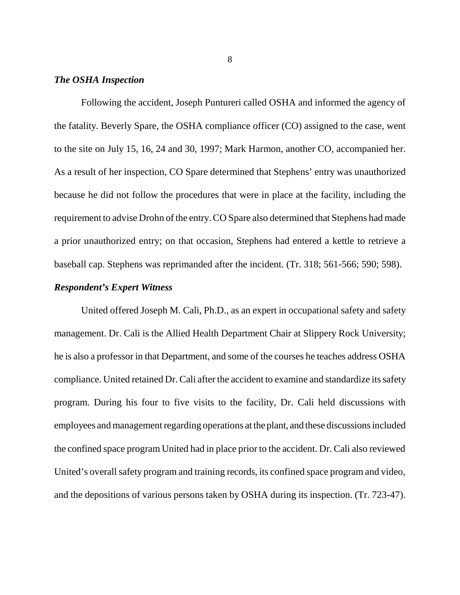## *The OSHA Inspection*

Following the accident, Joseph Puntureri called OSHA and informed the agency of the fatality. Beverly Spare, the OSHA compliance officer (CO) assigned to the case, went to the site on July 15, 16, 24 and 30, 1997; Mark Harmon, another CO, accompanied her. As a result of her inspection, CO Spare determined that Stephens' entry was unauthorized because he did not follow the procedures that were in place at the facility, including the requirement to advise Drohn of the entry. CO Spare also determined that Stephens had made a prior unauthorized entry; on that occasion, Stephens had entered a kettle to retrieve a baseball cap. Stephens was reprimanded after the incident. (Tr. 318; 561-566; 590; 598).

#### *Respondent's Expert Witness*

United offered Joseph M. Cali, Ph.D., as an expert in occupational safety and safety management. Dr. Cali is the Allied Health Department Chair at Slippery Rock University; he is also a professor in that Department, and some of the courses he teaches address OSHA compliance. United retained Dr. Cali after the accident to examine and standardize its safety program. During his four to five visits to the facility, Dr. Cali held discussions with employees and management regarding operations at the plant, and these discussions included the confined space program United had in place prior to the accident. Dr. Cali also reviewed United's overall safety program and training records, its confined space program and video, and the depositions of various persons taken by OSHA during its inspection. (Tr. 723-47).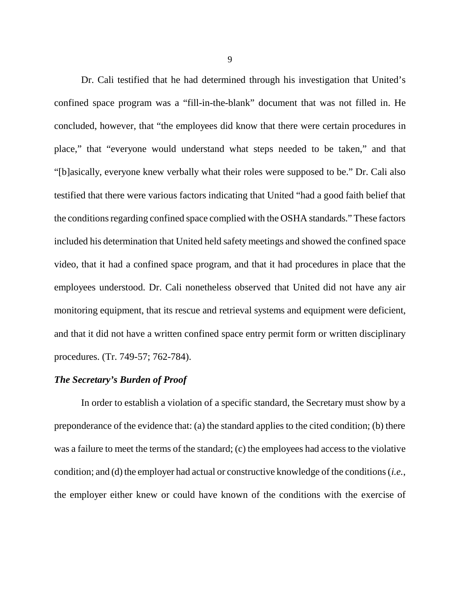Dr. Cali testified that he had determined through his investigation that United's confined space program was a "fill-in-the-blank" document that was not filled in. He concluded, however, that "the employees did know that there were certain procedures in place," that "everyone would understand what steps needed to be taken," and that "[b]asically, everyone knew verbally what their roles were supposed to be." Dr. Cali also testified that there were various factors indicating that United "had a good faith belief that the conditions regarding confined space complied with the OSHA standards." These factors included his determination that United held safety meetings and showed the confined space video, that it had a confined space program, and that it had procedures in place that the employees understood. Dr. Cali nonetheless observed that United did not have any air monitoring equipment, that its rescue and retrieval systems and equipment were deficient, and that it did not have a written confined space entry permit form or written disciplinary procedures. (Tr. 749-57; 762-784).

#### *The Secretary's Burden of Proof*

In order to establish a violation of a specific standard, the Secretary must show by a preponderance of the evidence that: (a) the standard applies to the cited condition; (b) there was a failure to meet the terms of the standard; (c) the employees had access to the violative condition; and (d) the employer had actual or constructive knowledge of the conditions (*i.e.*, the employer either knew or could have known of the conditions with the exercise of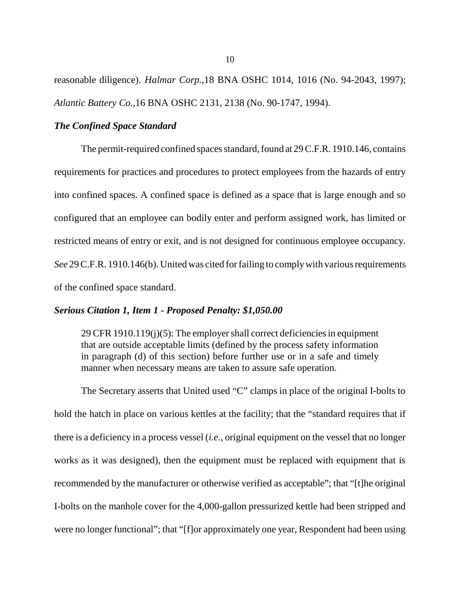reasonable diligence). *Halmar Corp.*,18 BNA OSHC 1014, 1016 (No. 94-2043, 1997); *Atlantic Battery Co.*,16 BNA OSHC 2131, 2138 (No. 90-1747, 1994).

#### *The Confined Space Standard*

The permit-required confined spaces standard, found at 29 C.F.R. 1910.146, contains requirements for practices and procedures to protect employees from the hazards of entry into confined spaces. A confined space is defined as a space that is large enough and so configured that an employee can bodily enter and perform assigned work, has limited or restricted means of entry or exit, and is not designed for continuous employee occupancy. *See* 29 C.F.R. 1910.146(b). United was cited for failing to comply with various requirements of the confined space standard.

#### *Serious Citation 1, Item 1 - Proposed Penalty: \$1,050.00*

29 CFR 1910.119(j)(5): The employer shall correct deficiencies in equipment that are outside acceptable limits (defined by the process safety information in paragraph (d) of this section) before further use or in a safe and timely manner when necessary means are taken to assure safe operation.

The Secretary asserts that United used "C" clamps in place of the original I-bolts to hold the hatch in place on various kettles at the facility; that the "standard requires that if there is a deficiency in a process vessel (*i.e.*, original equipment on the vessel that no longer works as it was designed), then the equipment must be replaced with equipment that is recommended by the manufacturer or otherwise verified as acceptable"; that "[t]he original I-bolts on the manhole cover for the 4,000-gallon pressurized kettle had been stripped and were no longer functional"; that "[f]or approximately one year, Respondent had been using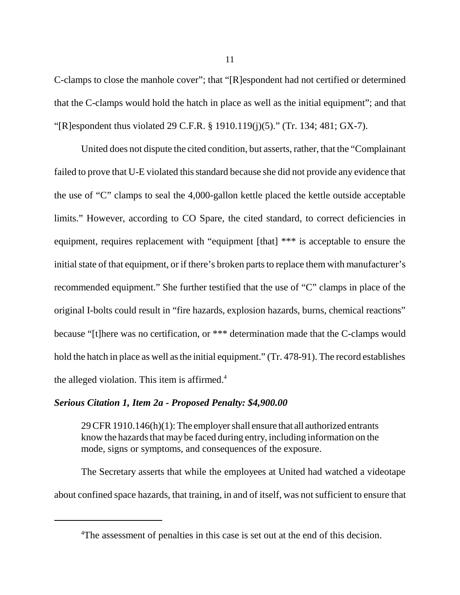C-clamps to close the manhole cover"; that "[R]espondent had not certified or determined that the C-clamps would hold the hatch in place as well as the initial equipment"; and that "[R]espondent thus violated 29 C.F.R. § 1910.119(j)(5)." (Tr. 134; 481; GX-7).

United does not dispute the cited condition, but asserts, rather, that the "Complainant failed to prove that U-E violated this standard because she did not provide any evidence that the use of "C" clamps to seal the 4,000-gallon kettle placed the kettle outside acceptable limits." However, according to CO Spare, the cited standard, to correct deficiencies in equipment, requires replacement with "equipment [that] \*\*\* is acceptable to ensure the initial state of that equipment, or if there's broken parts to replace them with manufacturer's recommended equipment." She further testified that the use of "C" clamps in place of the original I-bolts could result in "fire hazards, explosion hazards, burns, chemical reactions" because "[t]here was no certification, or \*\*\* determination made that the C-clamps would hold the hatch in place as well as the initial equipment." (Tr. 478-91). The record establishes the alleged violation. This item is affirmed. $4$ 

#### *Serious Citation 1, Item 2a - Proposed Penalty: \$4,900.00*

29 CFR 1910.146(h)(1): The employer shall ensure that all authorized entrants know the hazards that may be faced during entry, including information on the mode, signs or symptoms, and consequences of the exposure.

The Secretary asserts that while the employees at United had watched a videotape about confined space hazards, that training, in and of itself, was not sufficient to ensure that

<sup>&</sup>lt;sup>4</sup>The assessment of penalties in this case is set out at the end of this decision.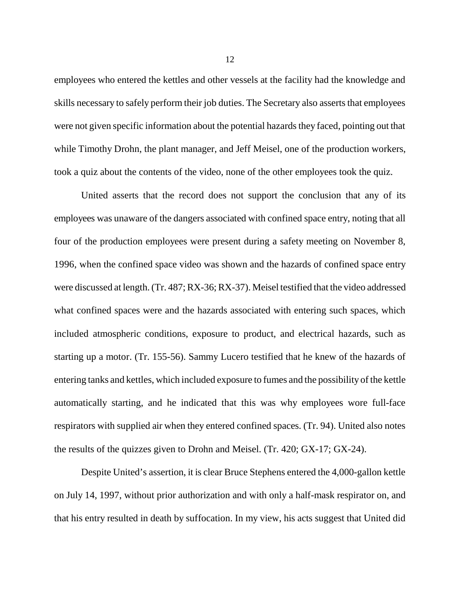employees who entered the kettles and other vessels at the facility had the knowledge and skills necessary to safely perform their job duties. The Secretary also asserts that employees were not given specific information about the potential hazards they faced, pointing out that while Timothy Drohn, the plant manager, and Jeff Meisel, one of the production workers, took a quiz about the contents of the video, none of the other employees took the quiz.

United asserts that the record does not support the conclusion that any of its employees was unaware of the dangers associated with confined space entry, noting that all four of the production employees were present during a safety meeting on November 8, 1996, when the confined space video was shown and the hazards of confined space entry were discussed at length. (Tr. 487; RX-36; RX-37). Meisel testified that the video addressed what confined spaces were and the hazards associated with entering such spaces, which included atmospheric conditions, exposure to product, and electrical hazards, such as starting up a motor. (Tr. 155-56). Sammy Lucero testified that he knew of the hazards of entering tanks and kettles, which included exposure to fumes and the possibility of the kettle automatically starting, and he indicated that this was why employees wore full-face respirators with supplied air when they entered confined spaces. (Tr. 94). United also notes the results of the quizzes given to Drohn and Meisel. (Tr. 420; GX-17; GX-24).

Despite United's assertion, it is clear Bruce Stephens entered the 4,000-gallon kettle on July 14, 1997, without prior authorization and with only a half-mask respirator on, and that his entry resulted in death by suffocation. In my view, his acts suggest that United did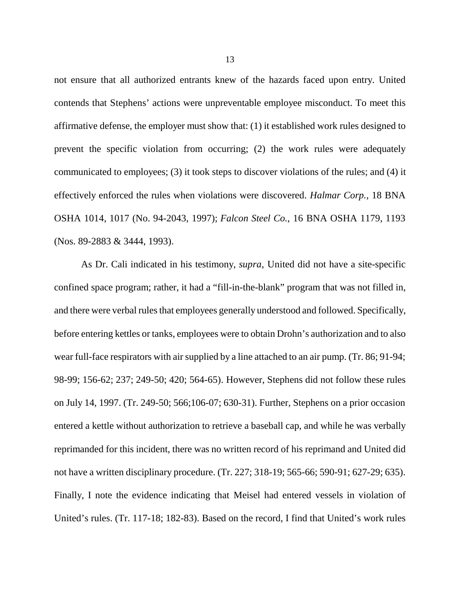not ensure that all authorized entrants knew of the hazards faced upon entry. United contends that Stephens' actions were unpreventable employee misconduct. To meet this affirmative defense, the employer must show that: (1) it established work rules designed to prevent the specific violation from occurring; (2) the work rules were adequately communicated to employees; (3) it took steps to discover violations of the rules; and (4) it effectively enforced the rules when violations were discovered. *Halmar Corp.*, 18 BNA OSHA 1014, 1017 (No. 94-2043, 1997); *Falcon Steel Co.*, 16 BNA OSHA 1179, 1193 (Nos. 89-2883 & 3444, 1993).

As Dr. Cali indicated in his testimony, *supra*, United did not have a site-specific confined space program; rather, it had a "fill-in-the-blank" program that was not filled in, and there were verbal rules that employees generally understood and followed. Specifically, before entering kettles or tanks, employees were to obtain Drohn's authorization and to also wear full-face respirators with air supplied by a line attached to an air pump. (Tr. 86; 91-94; 98-99; 156-62; 237; 249-50; 420; 564-65). However, Stephens did not follow these rules on July 14, 1997. (Tr. 249-50; 566;106-07; 630-31). Further, Stephens on a prior occasion entered a kettle without authorization to retrieve a baseball cap, and while he was verbally reprimanded for this incident, there was no written record of his reprimand and United did not have a written disciplinary procedure. (Tr. 227; 318-19; 565-66; 590-91; 627-29; 635). Finally, I note the evidence indicating that Meisel had entered vessels in violation of United's rules. (Tr. 117-18; 182-83). Based on the record, I find that United's work rules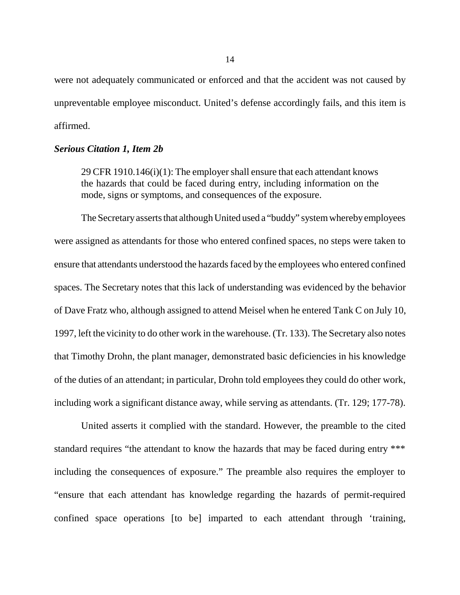were not adequately communicated or enforced and that the accident was not caused by unpreventable employee misconduct. United's defense accordingly fails, and this item is affirmed.

#### *Serious Citation 1, Item 2b*

29 CFR 1910.146(i)(1): The employer shall ensure that each attendant knows the hazards that could be faced during entry, including information on the mode, signs or symptoms, and consequences of the exposure.

The Secretary asserts that although United used a "buddy" system whereby employees were assigned as attendants for those who entered confined spaces, no steps were taken to ensure that attendants understood the hazards faced by the employees who entered confined spaces. The Secretary notes that this lack of understanding was evidenced by the behavior of Dave Fratz who, although assigned to attend Meisel when he entered Tank C on July 10, 1997, left the vicinity to do other work in the warehouse. (Tr. 133). The Secretary also notes that Timothy Drohn, the plant manager, demonstrated basic deficiencies in his knowledge of the duties of an attendant; in particular, Drohn told employees they could do other work, including work a significant distance away, while serving as attendants. (Tr. 129; 177-78).

United asserts it complied with the standard. However, the preamble to the cited standard requires "the attendant to know the hazards that may be faced during entry \*\*\* including the consequences of exposure." The preamble also requires the employer to "ensure that each attendant has knowledge regarding the hazards of permit-required confined space operations [to be] imparted to each attendant through 'training,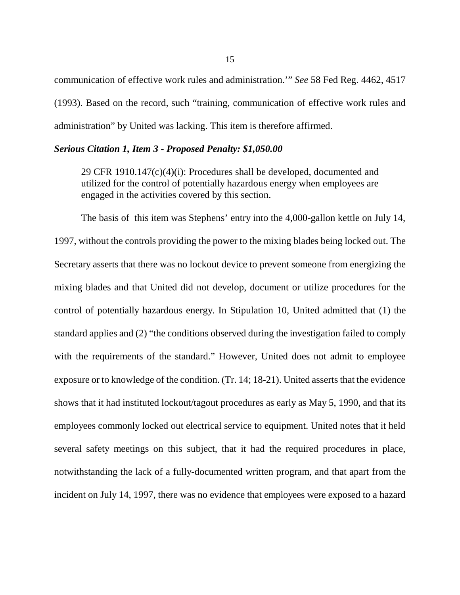communication of effective work rules and administration.'" *See* 58 Fed Reg. 4462, 4517 (1993). Based on the record, such "training, communication of effective work rules and administration" by United was lacking. This item is therefore affirmed.

#### *Serious Citation 1, Item 3 - Proposed Penalty: \$1,050.00*

29 CFR 1910.147(c)(4)(i): Procedures shall be developed, documented and utilized for the control of potentially hazardous energy when employees are engaged in the activities covered by this section.

The basis of this item was Stephens' entry into the 4,000-gallon kettle on July 14, 1997, without the controls providing the power to the mixing blades being locked out. The Secretary asserts that there was no lockout device to prevent someone from energizing the mixing blades and that United did not develop, document or utilize procedures for the control of potentially hazardous energy. In Stipulation 10, United admitted that (1) the standard applies and (2) "the conditions observed during the investigation failed to comply with the requirements of the standard." However, United does not admit to employee exposure or to knowledge of the condition. (Tr. 14; 18-21). United asserts that the evidence shows that it had instituted lockout/tagout procedures as early as May 5, 1990, and that its employees commonly locked out electrical service to equipment. United notes that it held several safety meetings on this subject, that it had the required procedures in place, notwithstanding the lack of a fully-documented written program, and that apart from the incident on July 14, 1997, there was no evidence that employees were exposed to a hazard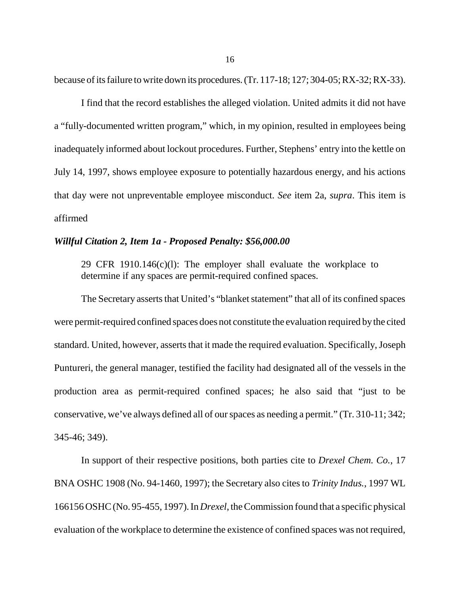because of its failure to write down its procedures. (Tr. 117-18; 127; 304-05; RX-32; RX-33).

I find that the record establishes the alleged violation. United admits it did not have a "fully-documented written program," which, in my opinion, resulted in employees being inadequately informed about lockout procedures. Further, Stephens' entry into the kettle on July 14, 1997, shows employee exposure to potentially hazardous energy, and his actions that day were not unpreventable employee misconduct. *See* item 2a, *supra*. This item is affirmed

#### *Willful Citation 2, Item 1a - Proposed Penalty: \$56,000.00*

29 CFR 1910.146(c)(l): The employer shall evaluate the workplace to determine if any spaces are permit-required confined spaces.

The Secretary asserts that United's "blanket statement" that all of its confined spaces were permit-required confined spaces does not constitute the evaluation required by the cited standard. United, however, asserts that it made the required evaluation. Specifically, Joseph Puntureri, the general manager, testified the facility had designated all of the vessels in the production area as permit-required confined spaces; he also said that "just to be conservative, we've always defined all of our spaces as needing a permit." (Tr. 310-11; 342; 345-46; 349).

In support of their respective positions, both parties cite to *Drexel Chem. Co.*, 17 BNA OSHC 1908 (No. 94-1460, 1997); the Secretary also cites to *Trinity Indus.*, 1997 WL 166156 OSHC (No. 95-455, 1997). In *Drexel*, the Commission found that a specific physical evaluation of the workplace to determine the existence of confined spaces was not required,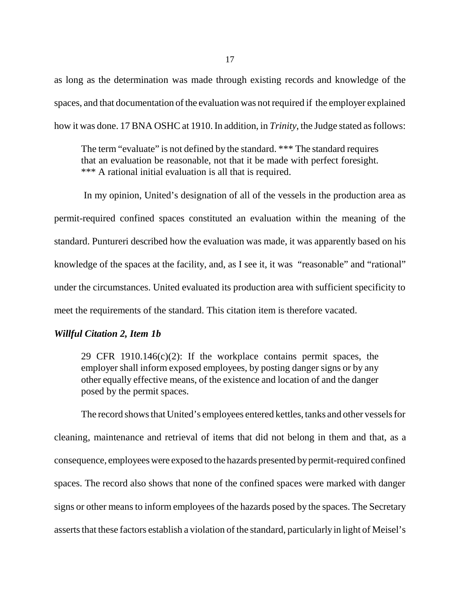as long as the determination was made through existing records and knowledge of the spaces, and that documentation of the evaluation was not required if the employer explained how it was done. 17 BNA OSHC at 1910. In addition, in *Trinity*, the Judge stated as follows:

The term "evaluate" is not defined by the standard. \*\*\* The standard requires that an evaluation be reasonable, not that it be made with perfect foresight. \*\*\* A rational initial evaluation is all that is required.

 In my opinion, United's designation of all of the vessels in the production area as permit-required confined spaces constituted an evaluation within the meaning of the standard. Puntureri described how the evaluation was made, it was apparently based on his knowledge of the spaces at the facility, and, as I see it, it was "reasonable" and "rational" under the circumstances. United evaluated its production area with sufficient specificity to meet the requirements of the standard. This citation item is therefore vacated.

### *Willful Citation 2, Item 1b*

29 CFR 1910.146(c)(2): If the workplace contains permit spaces, the employer shall inform exposed employees, by posting danger signs or by any other equally effective means, of the existence and location of and the danger posed by the permit spaces.

The record shows that United's employees entered kettles, tanks and other vessels for cleaning, maintenance and retrieval of items that did not belong in them and that, as a consequence, employees were exposed to the hazards presented by permit-required confined spaces. The record also shows that none of the confined spaces were marked with danger signs or other means to inform employees of the hazards posed by the spaces. The Secretary asserts that these factors establish a violation of the standard, particularly in light of Meisel's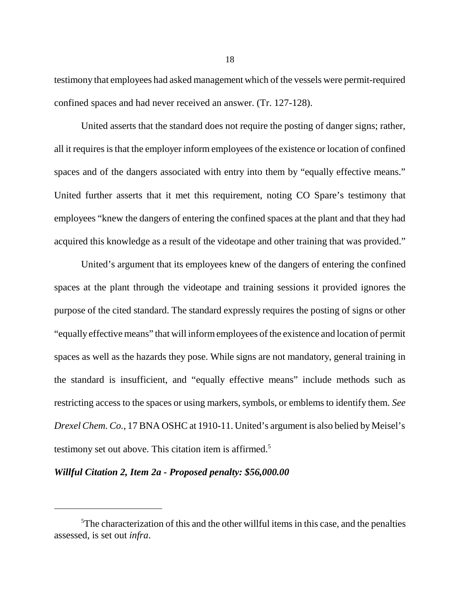testimony that employees had asked management which of the vessels were permit-required confined spaces and had never received an answer. (Tr. 127-128).

United asserts that the standard does not require the posting of danger signs; rather, all it requires is that the employer inform employees of the existence or location of confined spaces and of the dangers associated with entry into them by "equally effective means." United further asserts that it met this requirement, noting CO Spare's testimony that employees "knew the dangers of entering the confined spaces at the plant and that they had acquired this knowledge as a result of the videotape and other training that was provided."

United's argument that its employees knew of the dangers of entering the confined spaces at the plant through the videotape and training sessions it provided ignores the purpose of the cited standard. The standard expressly requires the posting of signs or other "equally effective means" that will inform employees of the existence and location of permit spaces as well as the hazards they pose. While signs are not mandatory, general training in the standard is insufficient, and "equally effective means" include methods such as restricting access to the spaces or using markers, symbols, or emblems to identify them. *See Drexel Chem. Co.*, 17 BNA OSHC at 1910-11. United's argument is also belied by Meisel's testimony set out above. This citation item is affirmed.<sup>5</sup>

### *Willful Citation 2, Item 2a - Proposed penalty: \$56,000.00*

<sup>&</sup>lt;sup>5</sup>The characterization of this and the other willful items in this case, and the penalties assessed, is set out *infra*.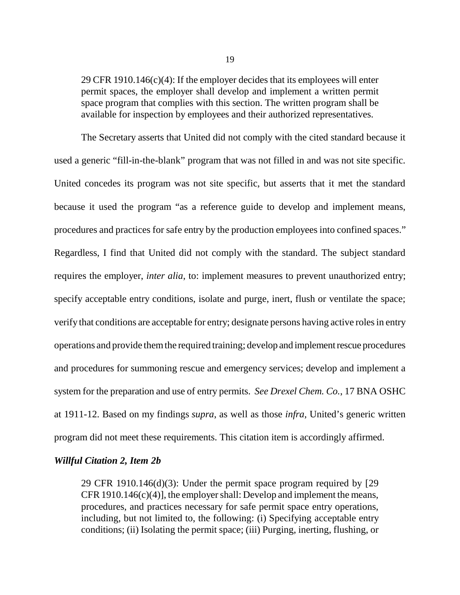29 CFR 1910.146(c)(4): If the employer decides that its employees will enter permit spaces, the employer shall develop and implement a written permit space program that complies with this section. The written program shall be available for inspection by employees and their authorized representatives.

The Secretary asserts that United did not comply with the cited standard because it used a generic "fill-in-the-blank" program that was not filled in and was not site specific. United concedes its program was not site specific, but asserts that it met the standard because it used the program "as a reference guide to develop and implement means, procedures and practices for safe entry by the production employees into confined spaces." Regardless, I find that United did not comply with the standard. The subject standard requires the employer, *inter alia*, to: implement measures to prevent unauthorized entry; specify acceptable entry conditions, isolate and purge, inert, flush or ventilate the space; verify that conditions are acceptable for entry; designate persons having active roles in entry operations and provide them the required training; develop and implement rescue procedures and procedures for summoning rescue and emergency services; develop and implement a system for the preparation and use of entry permits. *See Drexel Chem. Co.*, 17 BNA OSHC at 1911-12. Based on my findings *supra*, as well as those *infra*, United's generic written program did not meet these requirements. This citation item is accordingly affirmed.

#### *Willful Citation 2, Item 2b*

29 CFR 1910.146(d)(3): Under the permit space program required by [29 CFR 1910.146(c)(4)], the employer shall: Develop and implement the means, procedures, and practices necessary for safe permit space entry operations, including, but not limited to, the following: (i) Specifying acceptable entry conditions; (ii) Isolating the permit space; (iii) Purging, inerting, flushing, or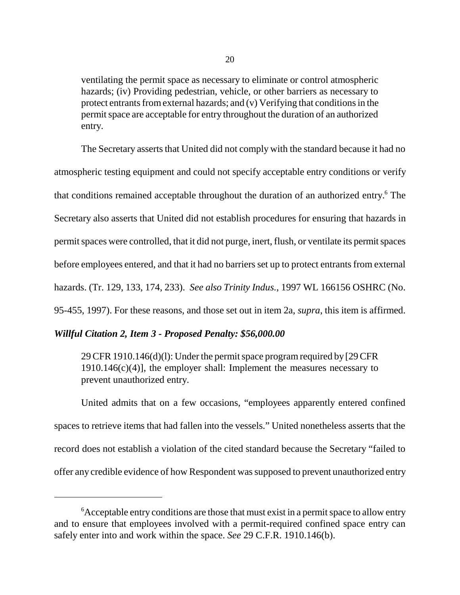ventilating the permit space as necessary to eliminate or control atmospheric hazards; (iv) Providing pedestrian, vehicle, or other barriers as necessary to protect entrants from external hazards; and (v) Verifying that conditions in the permit space are acceptable for entry throughout the duration of an authorized entry.

The Secretary asserts that United did not comply with the standard because it had no atmospheric testing equipment and could not specify acceptable entry conditions or verify that conditions remained acceptable throughout the duration of an authorized entry.<sup>6</sup> The Secretary also asserts that United did not establish procedures for ensuring that hazards in permit spaces were controlled, that it did not purge, inert, flush, or ventilate its permit spaces before employees entered, and that it had no barriers set up to protect entrants from external hazards. (Tr. 129, 133, 174, 233). *See also Trinity Indus.*, 1997 WL 166156 OSHRC (No. 95-455, 1997). For these reasons, and those set out in item 2a, *supra*, this item is affirmed.

### *Willful Citation 2, Item 3 - Proposed Penalty: \$56,000.00*

29 CFR 1910.146(d)(l): Under the permit space program required by [29 CFR  $1910.146(c)(4)$ ], the employer shall: Implement the measures necessary to prevent unauthorized entry.

United admits that on a few occasions, "employees apparently entered confined spaces to retrieve items that had fallen into the vessels." United nonetheless asserts that the record does not establish a violation of the cited standard because the Secretary "failed to offer any credible evidence of how Respondent was supposed to prevent unauthorized entry

 $6$ Acceptable entry conditions are those that must exist in a permit space to allow entry and to ensure that employees involved with a permit-required confined space entry can safely enter into and work within the space. *See* 29 C.F.R. 1910.146(b).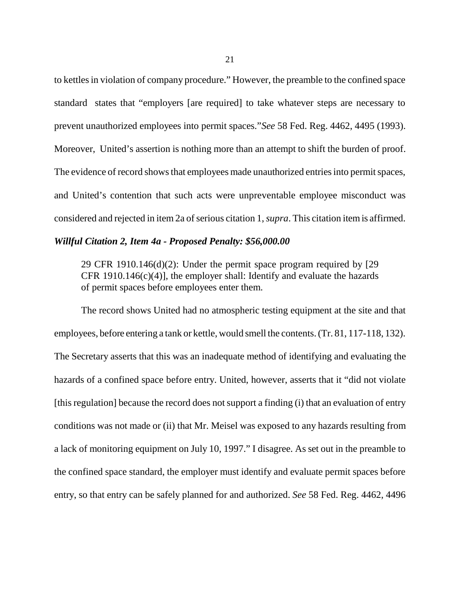to kettles in violation of company procedure." However, the preamble to the confined space standard states that "employers [are required] to take whatever steps are necessary to prevent unauthorized employees into permit spaces."*See* 58 Fed. Reg. 4462, 4495 (1993). Moreover, United's assertion is nothing more than an attempt to shift the burden of proof. The evidence of record shows that employees made unauthorized entries into permit spaces, and United's contention that such acts were unpreventable employee misconduct was considered and rejected in item 2a of serious citation 1, *supra*. This citation item is affirmed.

#### *Willful Citation 2, Item 4a - Proposed Penalty: \$56,000.00*

29 CFR 1910.146(d)(2): Under the permit space program required by [29 CFR 1910.146 $(c)(4)$ ], the employer shall: Identify and evaluate the hazards of permit spaces before employees enter them.

The record shows United had no atmospheric testing equipment at the site and that employees, before entering a tank or kettle, would smell the contents. (Tr. 81, 117-118, 132). The Secretary asserts that this was an inadequate method of identifying and evaluating the hazards of a confined space before entry. United, however, asserts that it "did not violate [this regulation] because the record does not support a finding (i) that an evaluation of entry conditions was not made or (ii) that Mr. Meisel was exposed to any hazards resulting from a lack of monitoring equipment on July 10, 1997." I disagree. As set out in the preamble to the confined space standard, the employer must identify and evaluate permit spaces before entry, so that entry can be safely planned for and authorized. *See* 58 Fed. Reg. 4462, 4496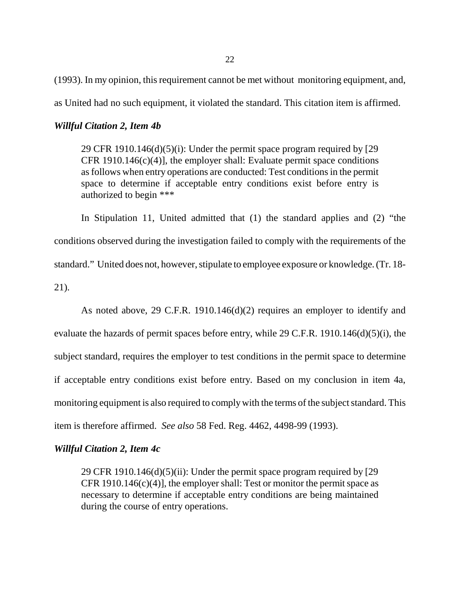22

(1993). In my opinion, this requirement cannot be met without monitoring equipment, and,

as United had no such equipment, it violated the standard. This citation item is affirmed.

## *Willful Citation 2, Item 4b*

29 CFR 1910.146 $(d)(5)(i)$ : Under the permit space program required by [29] CFR 1910.146 $(c)(4)$ ], the employer shall: Evaluate permit space conditions as follows when entry operations are conducted: Test conditions in the permit space to determine if acceptable entry conditions exist before entry is authorized to begin \*\*\*

In Stipulation 11, United admitted that (1) the standard applies and (2) "the conditions observed during the investigation failed to comply with the requirements of the standard." United does not, however, stipulate to employee exposure or knowledge. (Tr. 18- 21).

As noted above, 29 C.F.R. 1910.146(d)(2) requires an employer to identify and evaluate the hazards of permit spaces before entry, while 29 C.F.R. 1910.146(d)(5)(i), the subject standard, requires the employer to test conditions in the permit space to determine if acceptable entry conditions exist before entry. Based on my conclusion in item 4a, monitoring equipment is also required to comply with the terms of the subject standard. This item is therefore affirmed. *See also* 58 Fed. Reg. 4462, 4498-99 (1993).

### *Willful Citation 2, Item 4c*

29 CFR 1910.146(d)(5)(ii): Under the permit space program required by [29 CFR 1910.146 $(c)(4)$ ], the employer shall: Test or monitor the permit space as necessary to determine if acceptable entry conditions are being maintained during the course of entry operations.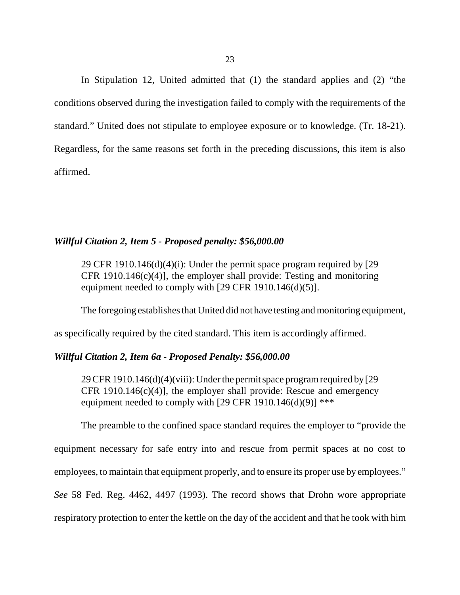In Stipulation 12, United admitted that (1) the standard applies and (2) "the conditions observed during the investigation failed to comply with the requirements of the standard." United does not stipulate to employee exposure or to knowledge. (Tr. 18-21). Regardless, for the same reasons set forth in the preceding discussions, this item is also affirmed.

### *Willful Citation 2, Item 5 - Proposed penalty: \$56,000.00*

29 CFR 1910.146 $(d)(4)(i)$ : Under the permit space program required by [29] CFR 1910.146(c)(4)], the employer shall provide: Testing and monitoring equipment needed to comply with  $[29$  CFR  $1910.146(d)(5)]$ .

The foregoing establishes that United did not have testing and monitoring equipment,

as specifically required by the cited standard. This item is accordingly affirmed.

## *Willful Citation 2, Item 6a - Proposed Penalty: \$56,000.00*

29 CFR 1910.146(d)(4)(viii): Under the permit space program required by [29 CFR 1910.146 $(c)(4)$ ], the employer shall provide: Rescue and emergency equipment needed to comply with  $[29$  CFR 1910.146(d)(9)] \*\*\*

The preamble to the confined space standard requires the employer to "provide the

equipment necessary for safe entry into and rescue from permit spaces at no cost to

employees, to maintain that equipment properly, and to ensure its proper use by employees."

*See* 58 Fed. Reg. 4462, 4497 (1993). The record shows that Drohn wore appropriate

respiratory protection to enter the kettle on the day of the accident and that he took with him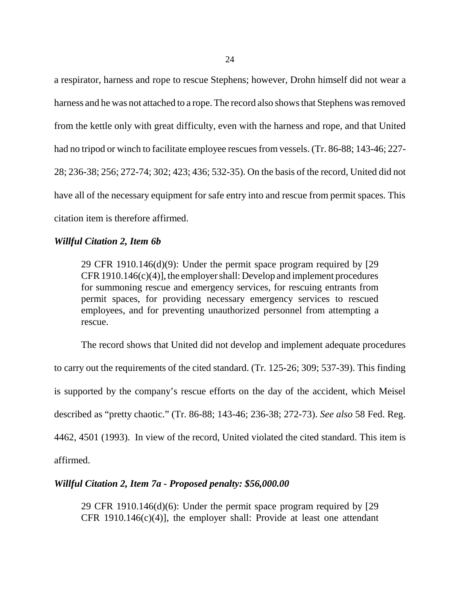a respirator, harness and rope to rescue Stephens; however, Drohn himself did not wear a harness and he was not attached to a rope. The record also shows that Stephens was removed from the kettle only with great difficulty, even with the harness and rope, and that United had no tripod or winch to facilitate employee rescues from vessels. (Tr. 86-88; 143-46; 227- 28; 236-38; 256; 272-74; 302; 423; 436; 532-35). On the basis of the record, United did not have all of the necessary equipment for safe entry into and rescue from permit spaces. This citation item is therefore affirmed.

## *Willful Citation 2, Item 6b*

29 CFR 1910.146(d)(9): Under the permit space program required by [29 CFR 1910.146(c)(4)], the employer shall: Develop and implement procedures for summoning rescue and emergency services, for rescuing entrants from permit spaces, for providing necessary emergency services to rescued employees, and for preventing unauthorized personnel from attempting a rescue.

The record shows that United did not develop and implement adequate procedures to carry out the requirements of the cited standard. (Tr. 125-26; 309; 537-39). This finding is supported by the company's rescue efforts on the day of the accident, which Meisel described as "pretty chaotic." (Tr. 86-88; 143-46; 236-38; 272-73). *See also* 58 Fed. Reg. 4462, 4501 (1993). In view of the record, United violated the cited standard. This item is affirmed.

## *Willful Citation 2, Item 7a - Proposed penalty: \$56,000.00*

29 CFR 1910.146(d)(6): Under the permit space program required by [29 CFR 1910.146(c)(4)], the employer shall: Provide at least one attendant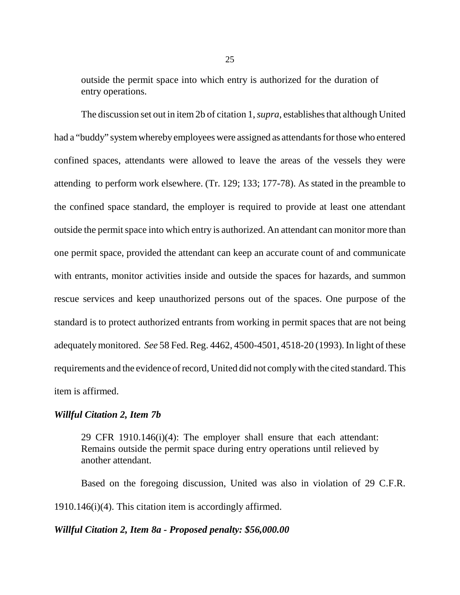outside the permit space into which entry is authorized for the duration of entry operations.

The discussion set out in item 2b of citation 1, *supra*, establishes that although United had a "buddy" system whereby employees were assigned as attendants for those who entered confined spaces, attendants were allowed to leave the areas of the vessels they were attending to perform work elsewhere. (Tr. 129; 133; 177-78). As stated in the preamble to the confined space standard, the employer is required to provide at least one attendant outside the permit space into which entry is authorized. An attendant can monitor more than one permit space, provided the attendant can keep an accurate count of and communicate with entrants, monitor activities inside and outside the spaces for hazards, and summon rescue services and keep unauthorized persons out of the spaces. One purpose of the standard is to protect authorized entrants from working in permit spaces that are not being adequately monitored. *See* 58 Fed. Reg. 4462, 4500-4501, 4518-20 (1993). In light of these requirements and the evidence of record, United did not comply with the cited standard. This item is affirmed.

#### *Willful Citation 2, Item 7b*

29 CFR 1910.146(i)(4): The employer shall ensure that each attendant: Remains outside the permit space during entry operations until relieved by another attendant.

Based on the foregoing discussion, United was also in violation of 29 C.F.R. 1910.146(i)(4). This citation item is accordingly affirmed.

#### *Willful Citation 2, Item 8a - Proposed penalty: \$56,000.00*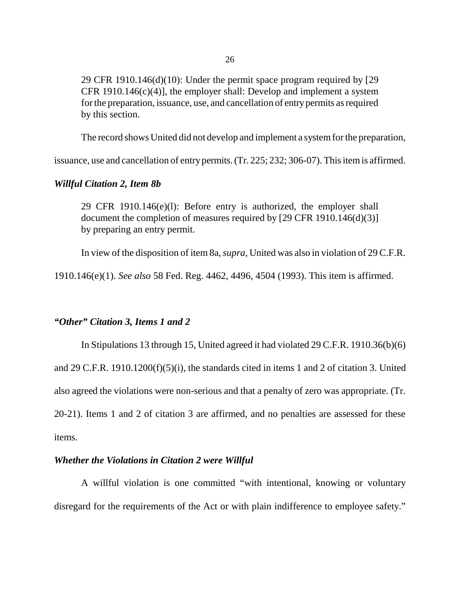29 CFR 1910.146(d)(10): Under the permit space program required by [29 CFR 1910.146 $(c)(4)$ ], the employer shall: Develop and implement a system for the preparation, issuance, use, and cancellation of entry permits as required by this section.

The record shows United did not develop and implement a system for the preparation,

issuance, use and cancellation of entry permits. (Tr. 225; 232; 306-07). This item is affirmed.

#### *Willful Citation 2, Item 8b*

29 CFR 1910.146(e)(l): Before entry is authorized, the employer shall document the completion of measures required by [29 CFR 1910.146(d)(3)] by preparing an entry permit.

In view of the disposition of item 8a, *supra*, United was also in violation of 29 C.F.R.

1910.146(e)(1). *See also* 58 Fed. Reg. 4462, 4496, 4504 (1993). This item is affirmed.

## *"Other" Citation 3, Items 1 and 2*

In Stipulations 13 through 15, United agreed it had violated 29 C.F.R. 1910.36(b)(6) and 29 C.F.R. 1910.1200(f)(5)(i), the standards cited in items 1 and 2 of citation 3. United also agreed the violations were non-serious and that a penalty of zero was appropriate. (Tr. 20-21). Items 1 and 2 of citation 3 are affirmed, and no penalties are assessed for these items.

### *Whether the Violations in Citation 2 were Willful*

A willful violation is one committed "with intentional, knowing or voluntary disregard for the requirements of the Act or with plain indifference to employee safety."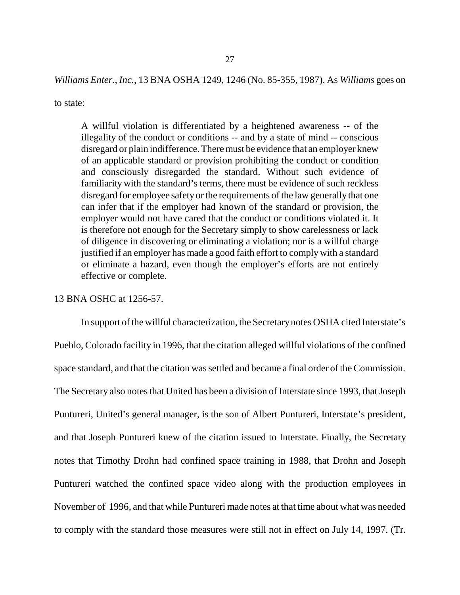*Williams Enter., Inc.*, 13 BNA OSHA 1249, 1246 (No. 85-355, 1987). As *Williams* goes on

to state:

A willful violation is differentiated by a heightened awareness -- of the illegality of the conduct or conditions -- and by a state of mind -- conscious disregard or plain indifference. There must be evidence that an employer knew of an applicable standard or provision prohibiting the conduct or condition and consciously disregarded the standard. Without such evidence of familiarity with the standard's terms, there must be evidence of such reckless disregard for employee safety or the requirements of the law generally that one can infer that if the employer had known of the standard or provision, the employer would not have cared that the conduct or conditions violated it. It is therefore not enough for the Secretary simply to show carelessness or lack of diligence in discovering or eliminating a violation; nor is a willful charge justified if an employer has made a good faith effort to comply with a standard or eliminate a hazard, even though the employer's efforts are not entirely effective or complete.

#### 13 BNA OSHC at 1256-57.

In support of the willful characterization, the Secretary notes OSHA cited Interstate's Pueblo, Colorado facility in 1996, that the citation alleged willful violations of the confined space standard, and that the citation was settled and became a final order of the Commission. The Secretary also notes that United has been a division of Interstate since 1993, that Joseph Puntureri, United's general manager, is the son of Albert Puntureri, Interstate's president, and that Joseph Puntureri knew of the citation issued to Interstate. Finally, the Secretary notes that Timothy Drohn had confined space training in 1988, that Drohn and Joseph Puntureri watched the confined space video along with the production employees in November of 1996, and that while Puntureri made notes at that time about what was needed to comply with the standard those measures were still not in effect on July 14, 1997. (Tr.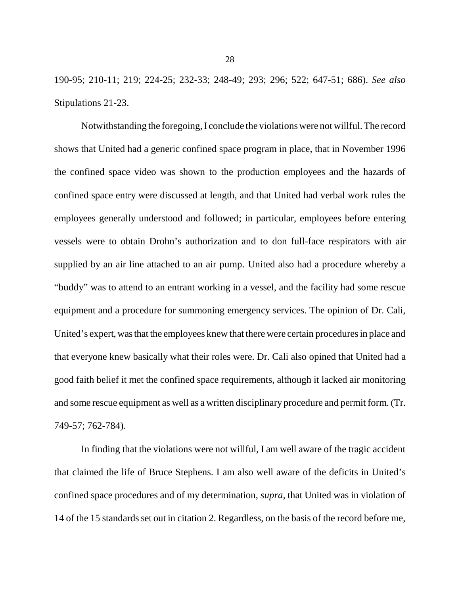190-95; 210-11; 219; 224-25; 232-33; 248-49; 293; 296; 522; 647-51; 686). *See also* Stipulations 21-23.

Notwithstanding the foregoing, I conclude the violations were not willful. The record shows that United had a generic confined space program in place, that in November 1996 the confined space video was shown to the production employees and the hazards of confined space entry were discussed at length, and that United had verbal work rules the employees generally understood and followed; in particular, employees before entering vessels were to obtain Drohn's authorization and to don full-face respirators with air supplied by an air line attached to an air pump. United also had a procedure whereby a "buddy" was to attend to an entrant working in a vessel, and the facility had some rescue equipment and a procedure for summoning emergency services. The opinion of Dr. Cali, United's expert, was that the employees knew that there were certain procedures in place and that everyone knew basically what their roles were. Dr. Cali also opined that United had a good faith belief it met the confined space requirements, although it lacked air monitoring and some rescue equipment as well as a written disciplinary procedure and permit form. (Tr. 749-57; 762-784).

In finding that the violations were not willful, I am well aware of the tragic accident that claimed the life of Bruce Stephens. I am also well aware of the deficits in United's confined space procedures and of my determination, *supra*, that United was in violation of 14 of the 15 standards set out in citation 2. Regardless, on the basis of the record before me,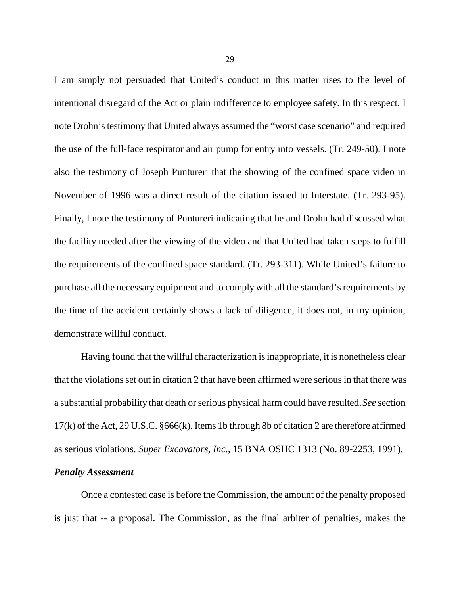I am simply not persuaded that United's conduct in this matter rises to the level of intentional disregard of the Act or plain indifference to employee safety. In this respect, I note Drohn's testimony that United always assumed the "worst case scenario" and required the use of the full-face respirator and air pump for entry into vessels. (Tr. 249-50). I note also the testimony of Joseph Puntureri that the showing of the confined space video in November of 1996 was a direct result of the citation issued to Interstate. (Tr. 293-95). Finally, I note the testimony of Puntureri indicating that he and Drohn had discussed what the facility needed after the viewing of the video and that United had taken steps to fulfill the requirements of the confined space standard. (Tr. 293-311). While United's failure to purchase all the necessary equipment and to comply with all the standard's requirements by the time of the accident certainly shows a lack of diligence, it does not, in my opinion, demonstrate willful conduct.

Having found that the willful characterization is inappropriate, it is nonetheless clear that the violations set out in citation 2 that have been affirmed were serious in that there was a substantial probability that death or serious physical harm could have resulted. *See* section 17(k) of the Act, 29 U.S.C. §666(k). Items 1b through 8b of citation 2 are therefore affirmed as serious violations. *Super Excavators, Inc.,* 15 BNA OSHC 1313 (No. 89-2253, 1991).

## *Penalty Assessment*

Once a contested case is before the Commission, the amount of the penalty proposed is just that -- a proposal. The Commission, as the final arbiter of penalties, makes the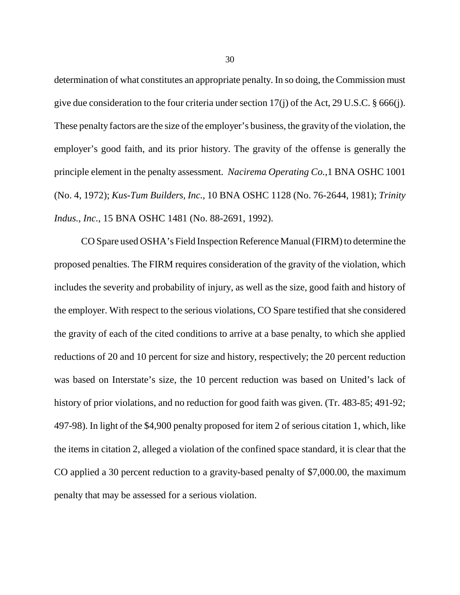determination of what constitutes an appropriate penalty. In so doing, the Commission must give due consideration to the four criteria under section 17(j) of the Act, 29 U.S.C. § 666(j). These penalty factors are the size of the employer's business, the gravity of the violation, the employer's good faith, and its prior history. The gravity of the offense is generally the principle element in the penalty assessment. *Nacirema Operating Co.*,1 BNA OSHC 1001 (No. 4, 1972); *Kus-Tum Builders, Inc.*, 10 BNA OSHC 1128 (No. 76-2644, 1981); *Trinity Indus., Inc.*, 15 BNA OSHC 1481 (No. 88-2691, 1992).

CO Spare used OSHA's Field Inspection Reference Manual (FIRM) to determine the proposed penalties. The FIRM requires consideration of the gravity of the violation, which includes the severity and probability of injury, as well as the size, good faith and history of the employer. With respect to the serious violations, CO Spare testified that she considered the gravity of each of the cited conditions to arrive at a base penalty, to which she applied reductions of 20 and 10 percent for size and history, respectively; the 20 percent reduction was based on Interstate's size, the 10 percent reduction was based on United's lack of history of prior violations, and no reduction for good faith was given. (Tr. 483-85; 491-92; 497-98). In light of the \$4,900 penalty proposed for item 2 of serious citation 1, which, like the items in citation 2, alleged a violation of the confined space standard, it is clear that the CO applied a 30 percent reduction to a gravity-based penalty of \$7,000.00, the maximum penalty that may be assessed for a serious violation.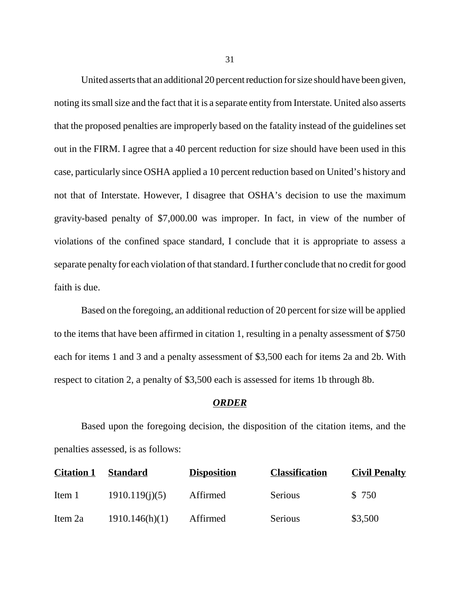United asserts that an additional 20 percent reduction for size should have been given, noting its small size and the fact that it is a separate entity from Interstate. United also asserts that the proposed penalties are improperly based on the fatality instead of the guidelines set out in the FIRM. I agree that a 40 percent reduction for size should have been used in this case, particularly since OSHA applied a 10 percent reduction based on United's history and not that of Interstate. However, I disagree that OSHA's decision to use the maximum gravity-based penalty of \$7,000.00 was improper. In fact, in view of the number of violations of the confined space standard, I conclude that it is appropriate to assess a separate penalty for each violation of that standard. I further conclude that no credit for good faith is due.

Based on the foregoing, an additional reduction of 20 percent for size will be applied to the items that have been affirmed in citation 1, resulting in a penalty assessment of \$750 each for items 1 and 3 and a penalty assessment of \$3,500 each for items 2a and 2b. With respect to citation 2, a penalty of \$3,500 each is assessed for items 1b through 8b.

#### *ORDER*

Based upon the foregoing decision, the disposition of the citation items, and the penalties assessed, is as follows:

| <b>Citation 1</b> | <b>Standard</b> | <b>Disposition</b> | <b>Classification</b> | <b>Civil Penalty</b> |
|-------------------|-----------------|--------------------|-----------------------|----------------------|
| Item 1            | 1910.119(j)(5)  | Affirmed           | Serious               | \$750                |
| Item 2a           | 1910.146(h)(1)  | Affirmed           | Serious               | \$3,500              |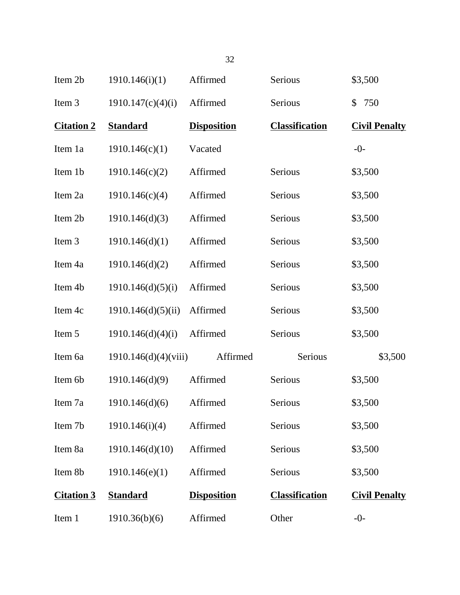| Item 2b           | 1910.146(i)(1)       | Affirmed           | Serious               | \$3,500              |
|-------------------|----------------------|--------------------|-----------------------|----------------------|
| Item 3            | 1910.147(c)(4)(i)    | Affirmed           | Serious               | 750<br>\$            |
| <b>Citation 2</b> | <b>Standard</b>      | <b>Disposition</b> | <b>Classification</b> | <b>Civil Penalty</b> |
| Item 1a           | 1910.146(c)(1)       | Vacated            |                       | $-0-$                |
| Item 1b           | 1910.146(c)(2)       | Affirmed           | Serious               | \$3,500              |
| Item 2a           | 1910.146(c)(4)       | Affirmed           | Serious               | \$3,500              |
| Item 2b           | 1910.146(d)(3)       | Affirmed           | Serious               | \$3,500              |
| Item 3            | 1910.146(d)(1)       | Affirmed           | Serious               | \$3,500              |
| Item 4a           | 1910.146(d)(2)       | Affirmed           | Serious               | \$3,500              |
| Item 4b           | 1910.146(d)(5)(i)    | Affirmed           | Serious               | \$3,500              |
| Item 4c           | 1910.146(d)(5)(ii)   | Affirmed           | Serious               | \$3,500              |
| Item 5            | 1910.146(d)(4)(i)    | Affirmed           | Serious               | \$3,500              |
| Item 6a           | 1910.146(d)(4)(viii) | Affirmed           | Serious               | \$3,500              |
| Item 6b           | 1910.146(d)(9)       | Affirmed           | Serious               | \$3,500              |
| Item 7a           | 1910.146(d)(6)       | Affirmed           | Serious               | \$3,500              |
| Item 7b           | 1910.146(i)(4)       | Affirmed           | Serious               | \$3,500              |
| Item 8a           | 1910.146(d)(10)      | Affirmed           | Serious               | \$3,500              |
| Item 8b           | 1910.146(e)(1)       | Affirmed           | Serious               | \$3,500              |
| <b>Citation 3</b> | <b>Standard</b>      | <b>Disposition</b> | <b>Classification</b> | <b>Civil Penalty</b> |
| Item 1            | 1910.36(b)(6)        | Affirmed           | Other                 | $-0-$                |

32